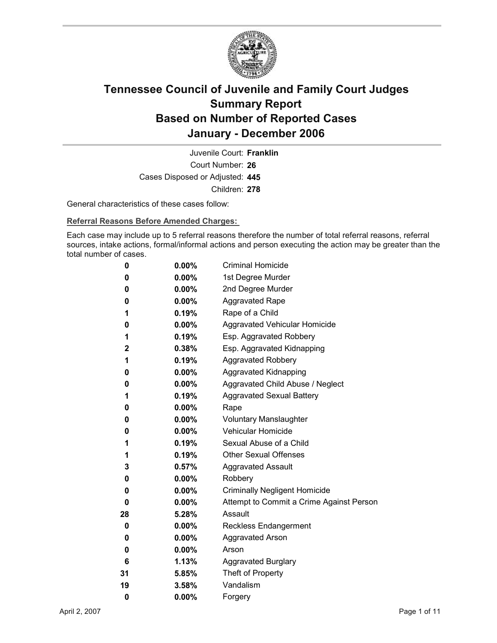

Court Number: **26** Juvenile Court: **Franklin** Cases Disposed or Adjusted: **445** Children: **278**

General characteristics of these cases follow:

**Referral Reasons Before Amended Charges:** 

Each case may include up to 5 referral reasons therefore the number of total referral reasons, referral sources, intake actions, formal/informal actions and person executing the action may be greater than the total number of cases.

| 0           | $0.00\%$ | <b>Criminal Homicide</b>                 |
|-------------|----------|------------------------------------------|
| 0           | $0.00\%$ | 1st Degree Murder                        |
| 0           | $0.00\%$ | 2nd Degree Murder                        |
| 0           | $0.00\%$ | <b>Aggravated Rape</b>                   |
| 1           | $0.19\%$ | Rape of a Child                          |
| 0           | $0.00\%$ | Aggravated Vehicular Homicide            |
| 1           | 0.19%    | Esp. Aggravated Robbery                  |
| $\mathbf 2$ | $0.38\%$ | Esp. Aggravated Kidnapping               |
| 1           | $0.19\%$ | <b>Aggravated Robbery</b>                |
| 0           | $0.00\%$ | <b>Aggravated Kidnapping</b>             |
| 0           | $0.00\%$ | Aggravated Child Abuse / Neglect         |
| 1           | $0.19\%$ | <b>Aggravated Sexual Battery</b>         |
| 0           | $0.00\%$ | Rape                                     |
| 0           | $0.00\%$ | <b>Voluntary Manslaughter</b>            |
| 0           | $0.00\%$ | Vehicular Homicide                       |
| 1           | $0.19\%$ | Sexual Abuse of a Child                  |
| 1           | 0.19%    | <b>Other Sexual Offenses</b>             |
| 3           | $0.57\%$ | <b>Aggravated Assault</b>                |
| 0           | $0.00\%$ | Robbery                                  |
| 0           | $0.00\%$ | <b>Criminally Negligent Homicide</b>     |
| 0           | $0.00\%$ | Attempt to Commit a Crime Against Person |
| 28          | 5.28%    | Assault                                  |
| 0           | $0.00\%$ | <b>Reckless Endangerment</b>             |
| 0           | $0.00\%$ | <b>Aggravated Arson</b>                  |
| 0           | $0.00\%$ | Arson                                    |
| 6           | 1.13%    | <b>Aggravated Burglary</b>               |
| 31          | 5.85%    | Theft of Property                        |
| 19          | 3.58%    | Vandalism                                |
| 0           | 0.00%    | Forgery                                  |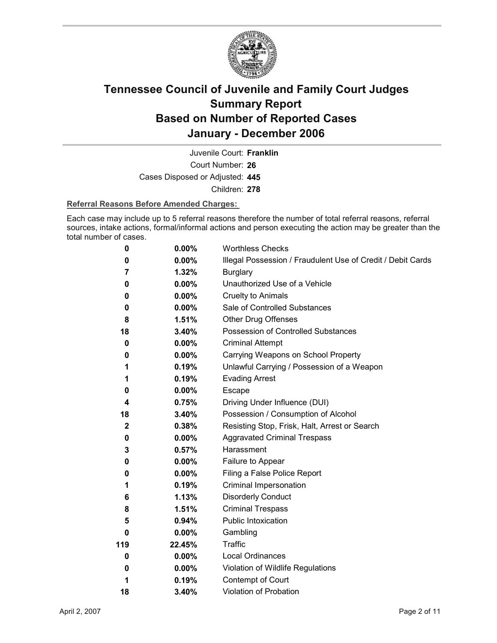

Court Number: **26** Juvenile Court: **Franklin** Cases Disposed or Adjusted: **445** Children: **278**

### **Referral Reasons Before Amended Charges:**

Each case may include up to 5 referral reasons therefore the number of total referral reasons, referral sources, intake actions, formal/informal actions and person executing the action may be greater than the total number of cases.

| 0            | 0.00%    | <b>Worthless Checks</b>                                     |
|--------------|----------|-------------------------------------------------------------|
| 0            | 0.00%    | Illegal Possession / Fraudulent Use of Credit / Debit Cards |
| 7            | 1.32%    | <b>Burglary</b>                                             |
| 0            | $0.00\%$ | Unauthorized Use of a Vehicle                               |
| 0            | $0.00\%$ | <b>Cruelty to Animals</b>                                   |
| 0            | $0.00\%$ | Sale of Controlled Substances                               |
| 8            | 1.51%    | <b>Other Drug Offenses</b>                                  |
| 18           | 3.40%    | Possession of Controlled Substances                         |
| 0            | $0.00\%$ | <b>Criminal Attempt</b>                                     |
| 0            | 0.00%    | Carrying Weapons on School Property                         |
| 1            | 0.19%    | Unlawful Carrying / Possession of a Weapon                  |
| 1            | 0.19%    | <b>Evading Arrest</b>                                       |
| 0            | $0.00\%$ | Escape                                                      |
| 4            | 0.75%    | Driving Under Influence (DUI)                               |
| 18           | 3.40%    | Possession / Consumption of Alcohol                         |
| $\mathbf{2}$ | 0.38%    | Resisting Stop, Frisk, Halt, Arrest or Search               |
| 0            | $0.00\%$ | <b>Aggravated Criminal Trespass</b>                         |
| 3            | 0.57%    | Harassment                                                  |
| 0            | $0.00\%$ | Failure to Appear                                           |
| 0            | $0.00\%$ | Filing a False Police Report                                |
| 1            | 0.19%    | Criminal Impersonation                                      |
| 6            | 1.13%    | <b>Disorderly Conduct</b>                                   |
| 8            | 1.51%    | <b>Criminal Trespass</b>                                    |
| 5            | 0.94%    | Public Intoxication                                         |
| 0            | $0.00\%$ | Gambling                                                    |
| 119          | 22.45%   | <b>Traffic</b>                                              |
| 0            | $0.00\%$ | <b>Local Ordinances</b>                                     |
| 0            | $0.00\%$ | Violation of Wildlife Regulations                           |
| 1            | 0.19%    | Contempt of Court                                           |
| 18           | 3.40%    | Violation of Probation                                      |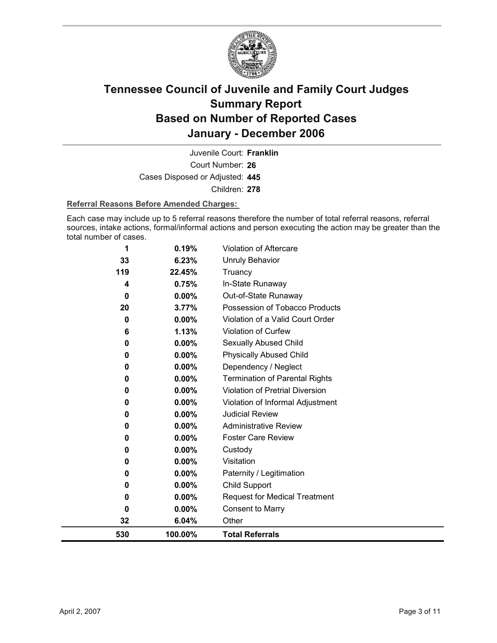

Court Number: **26** Juvenile Court: **Franklin** Cases Disposed or Adjusted: **445** Children: **278**

### **Referral Reasons Before Amended Charges:**

Each case may include up to 5 referral reasons therefore the number of total referral reasons, referral sources, intake actions, formal/informal actions and person executing the action may be greater than the total number of cases.

| 530      | 100.00%        | <b>Total Referrals</b>                 |
|----------|----------------|----------------------------------------|
| 32       | 6.04%          | Other                                  |
| 0        | 0.00%          | <b>Consent to Marry</b>                |
| 0        | $0.00\%$       | <b>Request for Medical Treatment</b>   |
| 0        | $0.00\%$       | Child Support                          |
| 0        | 0.00%          | Paternity / Legitimation               |
| 0        | 0.00%          | Visitation                             |
| 0        | 0.00%          | Custody                                |
| 0        | 0.00%          | <b>Foster Care Review</b>              |
| 0        | $0.00\%$       | <b>Administrative Review</b>           |
| 0        | 0.00%          | <b>Judicial Review</b>                 |
| 0        | 0.00%          | Violation of Informal Adjustment       |
| 0        | $0.00\%$       | <b>Violation of Pretrial Diversion</b> |
| 0        | 0.00%          | <b>Termination of Parental Rights</b>  |
| 0        | 0.00%          | Dependency / Neglect                   |
| 0        | 0.00%          | <b>Physically Abused Child</b>         |
| 0        | 0.00%          | Sexually Abused Child                  |
| 6        | 1.13%          | <b>Violation of Curfew</b>             |
| 0        | 0.00%          | Violation of a Valid Court Order       |
| 20       | 3.77%          | Possession of Tobacco Products         |
| 0        | 0.75%<br>0.00% | Out-of-State Runaway                   |
| 119<br>4 | 22.45%         | Truancy<br>In-State Runaway            |
| 33       | 6.23%          | <b>Unruly Behavior</b>                 |
| 1        | 0.19%          | <b>Violation of Aftercare</b>          |
|          |                |                                        |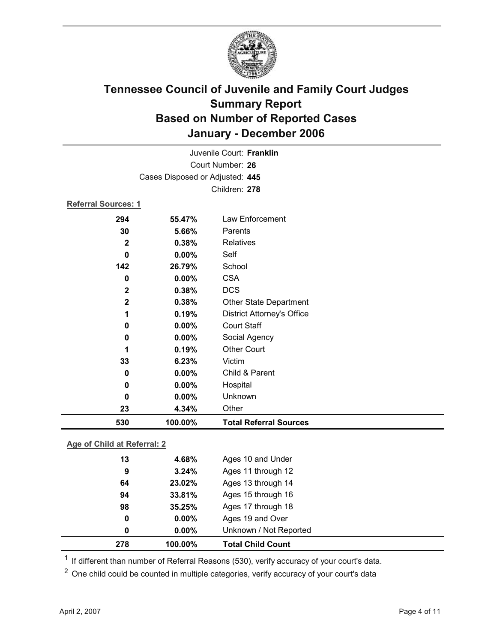

|                     |                                 | Juvenile Court: Franklin          |
|---------------------|---------------------------------|-----------------------------------|
|                     |                                 | Court Number: 26                  |
|                     | Cases Disposed or Adjusted: 445 |                                   |
|                     |                                 | Children: 278                     |
| Referral Sources: 1 |                                 |                                   |
| 294                 | 55.47%                          | Law Enforcement                   |
| 30                  | 5.66%                           | Parents                           |
| $\mathbf{2}$        | 0.38%                           | Relatives                         |
| $\bf{0}$            | 0.00%                           | Self                              |
| 142                 | 26.79%                          | School                            |
| 0                   | 0.00%                           | <b>CSA</b>                        |
| $\mathbf 2$         | 0.38%                           | <b>DCS</b>                        |
| $\mathbf{2}$        | 0.38%                           | Other State Department            |
| 1                   | 0.19%                           | <b>District Attorney's Office</b> |
| 0                   | 0.00%                           | <b>Court Staff</b>                |
| $\bf{0}$            | $0.00\%$                        | Social Agency                     |
| 1                   | 0.19%                           | <b>Other Court</b>                |
| 33                  | 6.23%                           | Victim                            |
| 0                   | 0.00%                           | Child & Parent                    |
| 0                   | $0.00\%$                        | Hospital                          |
| 0                   | 0.00%                           | Unknown                           |
| 23                  | 4.34%                           | Other                             |
| 530                 | 100.00%                         | <b>Total Referral Sources</b>     |

### **Age of Child at Referral: 2**

| 278 | 100.00%  | <b>Total Child Count</b> |
|-----|----------|--------------------------|
| 0   | $0.00\%$ | Unknown / Not Reported   |
| 0   | $0.00\%$ | Ages 19 and Over         |
| 98  | 35.25%   | Ages 17 through 18       |
| 94  | 33.81%   | Ages 15 through 16       |
| 64  | 23.02%   | Ages 13 through 14       |
| 9   | 3.24%    | Ages 11 through 12       |
| 13  | 4.68%    | Ages 10 and Under        |
|     |          |                          |

<sup>1</sup> If different than number of Referral Reasons (530), verify accuracy of your court's data.

<sup>2</sup> One child could be counted in multiple categories, verify accuracy of your court's data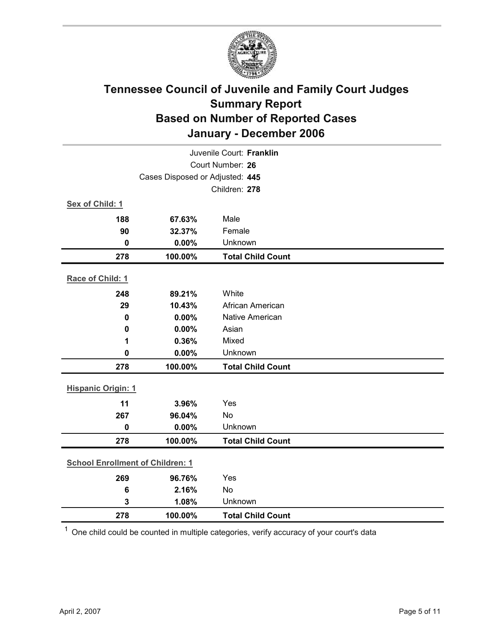

| Juvenile Court: Franklin                |                                 |                          |  |  |
|-----------------------------------------|---------------------------------|--------------------------|--|--|
|                                         | Court Number: 26                |                          |  |  |
|                                         | Cases Disposed or Adjusted: 445 |                          |  |  |
|                                         |                                 | Children: 278            |  |  |
| Sex of Child: 1                         |                                 |                          |  |  |
| 188                                     | 67.63%                          | Male                     |  |  |
| 90                                      | 32.37%                          | Female                   |  |  |
| 0                                       | 0.00%                           | Unknown                  |  |  |
| 278                                     | 100.00%                         | <b>Total Child Count</b> |  |  |
| Race of Child: 1                        |                                 |                          |  |  |
| 248                                     | 89.21%                          | White                    |  |  |
| 29                                      | 10.43%                          | African American         |  |  |
| $\mathbf 0$                             | 0.00%                           | <b>Native American</b>   |  |  |
| $\mathbf 0$                             | 0.00%                           | Asian                    |  |  |
| 1                                       | 0.36%                           | Mixed                    |  |  |
| $\mathbf 0$                             | 0.00%                           | Unknown                  |  |  |
| 278                                     | 100.00%                         | <b>Total Child Count</b> |  |  |
| <b>Hispanic Origin: 1</b>               |                                 |                          |  |  |
| 11                                      | 3.96%                           | Yes                      |  |  |
| 267                                     | 96.04%                          | No                       |  |  |
| $\mathbf 0$                             | 0.00%                           | Unknown                  |  |  |
| 278                                     | 100.00%                         | <b>Total Child Count</b> |  |  |
| <b>School Enrollment of Children: 1</b> |                                 |                          |  |  |
| 269                                     | 96.76%                          | Yes                      |  |  |
| $6\phantom{1}6$                         | 2.16%                           | No                       |  |  |
| 3                                       | 1.08%                           | Unknown                  |  |  |
| 278                                     | 100.00%                         | <b>Total Child Count</b> |  |  |

 $1$  One child could be counted in multiple categories, verify accuracy of your court's data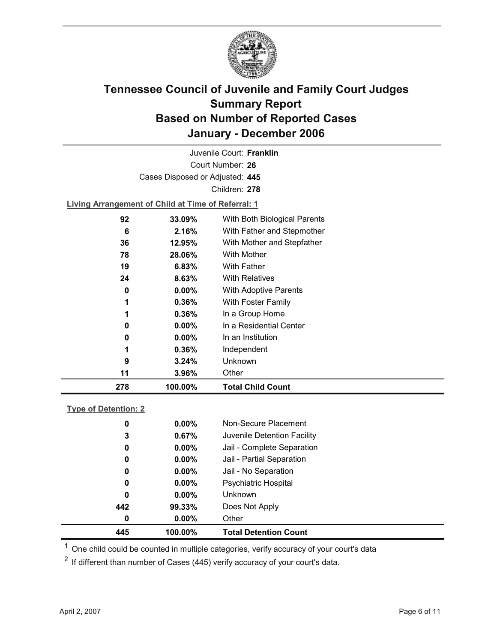

Court Number: **26** Juvenile Court: **Franklin** Cases Disposed or Adjusted: **445** Children: **278**

**Living Arrangement of Child at Time of Referral: 1**

| 278 | 100.00%  | <b>Total Child Count</b>     |
|-----|----------|------------------------------|
| 11  | 3.96%    | Other                        |
| 9   | 3.24%    | Unknown                      |
| 1   | 0.36%    | Independent                  |
| 0   | $0.00\%$ | In an Institution            |
| 0   | $0.00\%$ | In a Residential Center      |
| 1   | 0.36%    | In a Group Home              |
| 1   | 0.36%    | With Foster Family           |
| 0   | $0.00\%$ | With Adoptive Parents        |
| 24  | 8.63%    | <b>With Relatives</b>        |
| 19  | 6.83%    | <b>With Father</b>           |
| 78  | 28.06%   | With Mother                  |
| 36  | 12.95%   | With Mother and Stepfather   |
| 6   | 2.16%    | With Father and Stepmother   |
| 92  | 33.09%   | With Both Biological Parents |
|     |          |                              |

### **Type of Detention: 2**

| 445         | 100.00%  | <b>Total Detention Count</b> |
|-------------|----------|------------------------------|
| 0           | $0.00\%$ | Other                        |
| 442         | 99.33%   | Does Not Apply               |
| $\mathbf 0$ | $0.00\%$ | <b>Unknown</b>               |
| 0           | $0.00\%$ | <b>Psychiatric Hospital</b>  |
| 0           | $0.00\%$ | Jail - No Separation         |
| 0           | $0.00\%$ | Jail - Partial Separation    |
| 0           | $0.00\%$ | Jail - Complete Separation   |
| 3           | 0.67%    | Juvenile Detention Facility  |
| 0           | $0.00\%$ | Non-Secure Placement         |
|             |          |                              |

 $<sup>1</sup>$  One child could be counted in multiple categories, verify accuracy of your court's data</sup>

 $2$  If different than number of Cases (445) verify accuracy of your court's data.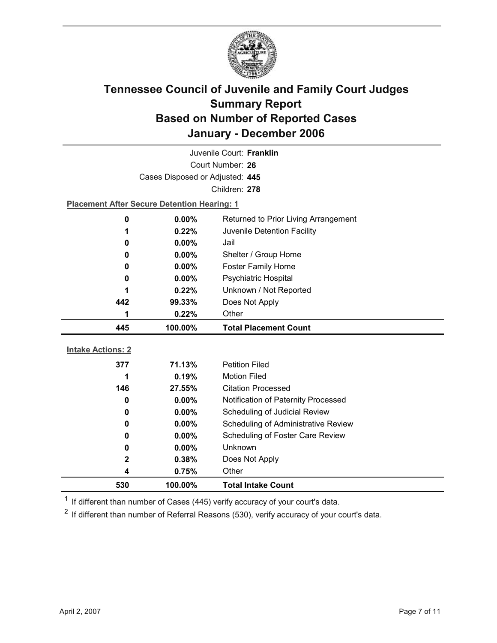

| Juvenile Court: Franklin |                                                    |                                      |  |  |
|--------------------------|----------------------------------------------------|--------------------------------------|--|--|
|                          | Court Number: 26                                   |                                      |  |  |
|                          | Cases Disposed or Adjusted: 445                    |                                      |  |  |
| Children: 278            |                                                    |                                      |  |  |
|                          | <b>Placement After Secure Detention Hearing: 1</b> |                                      |  |  |
| 0                        | $0.00\%$                                           | Returned to Prior Living Arrangement |  |  |
| 1                        | 0.22%                                              | Juvenile Detention Facility          |  |  |
| 0                        | $0.00\%$                                           | Jail                                 |  |  |
| 0                        | $0.00\%$                                           | Shelter / Group Home                 |  |  |
| 0                        | 0.00%                                              | <b>Foster Family Home</b>            |  |  |
| 0                        | $0.00\%$                                           | Psychiatric Hospital                 |  |  |
| 1                        | 0.22%                                              | Unknown / Not Reported               |  |  |
| 442                      | 99.33%                                             | Does Not Apply                       |  |  |
| 1                        | 0.22%                                              | Other                                |  |  |
|                          |                                                    |                                      |  |  |
| 445                      | 100.00%                                            | <b>Total Placement Count</b>         |  |  |
|                          |                                                    |                                      |  |  |
| <b>Intake Actions: 2</b> |                                                    |                                      |  |  |
| 377                      | 71.13%                                             | <b>Petition Filed</b>                |  |  |
| 1                        | 0.19%                                              | <b>Motion Filed</b>                  |  |  |
| 146                      | 27.55%                                             | <b>Citation Processed</b>            |  |  |
| 0                        | $0.00\%$                                           | Notification of Paternity Processed  |  |  |
| 0                        | 0.00%                                              | Scheduling of Judicial Review        |  |  |
| 0                        | $0.00\%$                                           | Scheduling of Administrative Review  |  |  |
| 0                        | $0.00\%$                                           | Scheduling of Foster Care Review     |  |  |
| 0                        | $0.00\%$                                           | <b>Unknown</b>                       |  |  |
| $\mathbf 2$              | 0.38%                                              | Does Not Apply                       |  |  |
| 4<br>530                 | 0.75%<br>100.00%                                   | Other<br><b>Total Intake Count</b>   |  |  |

 $1$  If different than number of Cases (445) verify accuracy of your court's data.

 $2$  If different than number of Referral Reasons (530), verify accuracy of your court's data.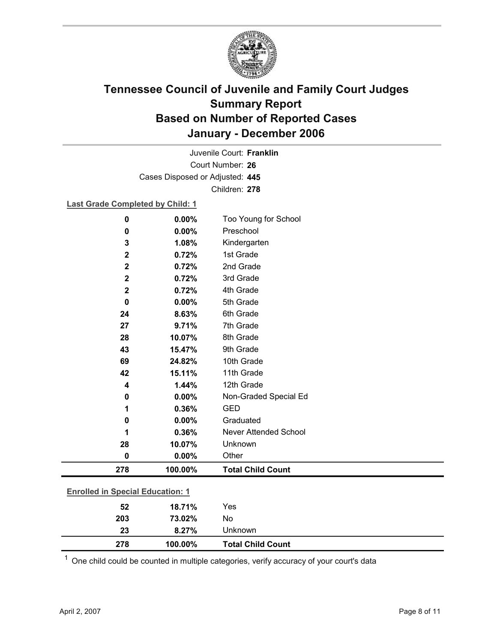

Court Number: **26** Juvenile Court: **Franklin** Cases Disposed or Adjusted: **445** Children: **278**

### **Last Grade Completed by Child: 1**

| $\mathbf 0$                             | 0.00%   | Too Young for School         |
|-----------------------------------------|---------|------------------------------|
| 0                                       | 0.00%   | Preschool                    |
| 3                                       | 1.08%   | Kindergarten                 |
| $\mathbf 2$                             | 0.72%   | 1st Grade                    |
| $\mathbf 2$                             | 0.72%   | 2nd Grade                    |
| $\mathbf 2$                             | 0.72%   | 3rd Grade                    |
| $\overline{\mathbf{2}}$                 | 0.72%   | 4th Grade                    |
| $\bf{0}$                                | 0.00%   | 5th Grade                    |
| 24                                      | 8.63%   | 6th Grade                    |
| 27                                      | 9.71%   | 7th Grade                    |
| 28                                      | 10.07%  | 8th Grade                    |
| 43                                      | 15.47%  | 9th Grade                    |
| 69                                      | 24.82%  | 10th Grade                   |
| 42                                      | 15.11%  | 11th Grade                   |
| $\overline{\mathbf{4}}$                 | 1.44%   | 12th Grade                   |
| 0                                       | 0.00%   | Non-Graded Special Ed        |
| 1                                       | 0.36%   | <b>GED</b>                   |
| 0                                       | 0.00%   | Graduated                    |
|                                         | 0.36%   | <b>Never Attended School</b> |
| 28                                      | 10.07%  | Unknown                      |
| $\pmb{0}$                               | 0.00%   | Other                        |
| 278                                     | 100.00% | <b>Total Child Count</b>     |
| <b>Enrolled in Special Education: 1</b> |         |                              |
| 52                                      | 18.71%  | Yes                          |
| 203                                     | 73.02%  | No                           |
| 23                                      | 8.27%   | Unknown                      |

 $1$  One child could be counted in multiple categories, verify accuracy of your court's data

**278 100.00% Total Child Count**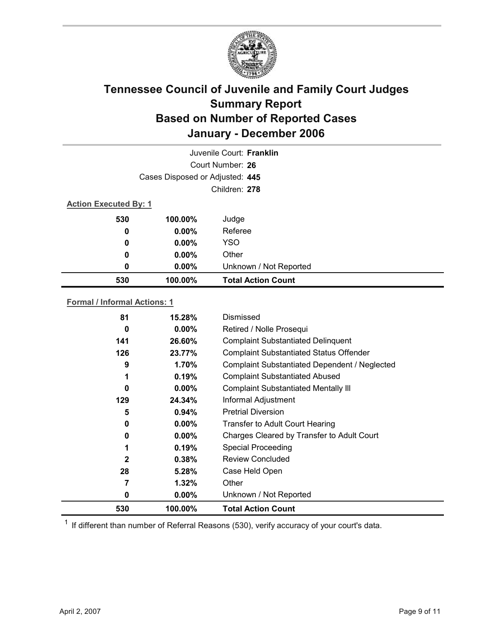

|                              |                                 | Juvenile Court: Franklin  |
|------------------------------|---------------------------------|---------------------------|
|                              |                                 | Court Number: 26          |
|                              | Cases Disposed or Adjusted: 445 |                           |
|                              |                                 | Children: 278             |
| <b>Action Executed By: 1</b> |                                 |                           |
| 530                          | 100.00%                         | Judge                     |
| 0                            | $0.00\%$                        | Referee                   |
| 0                            | $0.00\%$                        | <b>YSO</b>                |
| 0                            | $0.00\%$                        | Other                     |
| 0                            | $0.00\%$                        | Unknown / Not Reported    |
| 530                          | 100.00%                         | <b>Total Action Count</b> |

### **Formal / Informal Actions: 1**

| 2<br>28<br>7<br>0 | 0.38%<br>5.28%<br>$1.32\%$<br>$0.00\%$ | <b>Review Concluded</b><br>Case Held Open<br>Other<br>Unknown / Not Reported |
|-------------------|----------------------------------------|------------------------------------------------------------------------------|
|                   |                                        |                                                                              |
|                   |                                        |                                                                              |
|                   |                                        |                                                                              |
|                   |                                        |                                                                              |
|                   | 0.19%                                  | <b>Special Proceeding</b>                                                    |
| 0                 | $0.00\%$                               | Charges Cleared by Transfer to Adult Court                                   |
| 0                 | $0.00\%$                               | <b>Transfer to Adult Court Hearing</b>                                       |
| 5                 | $0.94\%$                               | <b>Pretrial Diversion</b>                                                    |
| 129               | 24.34%                                 | Informal Adjustment                                                          |
| $\Omega$          | $0.00\%$                               | <b>Complaint Substantiated Mentally III</b>                                  |
| 1                 | 0.19%                                  | <b>Complaint Substantiated Abused</b>                                        |
| 9                 | 1.70%                                  | Complaint Substantiated Dependent / Neglected                                |
| 126               | 23.77%                                 | <b>Complaint Substantiated Status Offender</b>                               |
| 141               | 26.60%                                 | <b>Complaint Substantiated Delinquent</b>                                    |
| 0                 | $0.00\%$                               | Retired / Nolle Prosequi                                                     |
| 81                | 15.28%                                 | Dismissed                                                                    |
|                   | 1                                      |                                                                              |

 $1$  If different than number of Referral Reasons (530), verify accuracy of your court's data.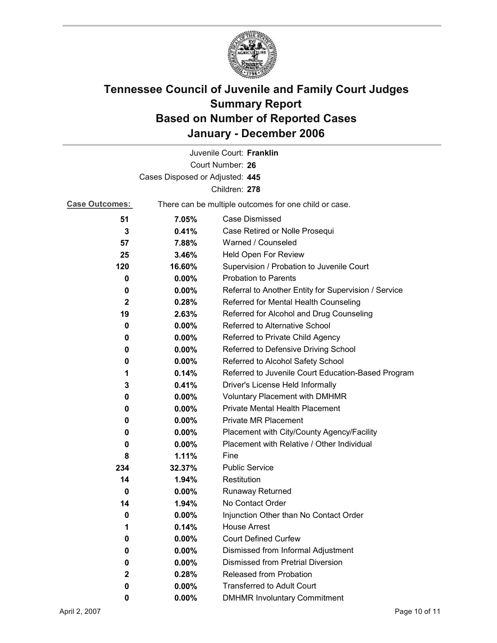

|                                 |                                                       | Juvenile Court: Franklin                             |
|---------------------------------|-------------------------------------------------------|------------------------------------------------------|
|                                 |                                                       | Court Number: 26                                     |
| Cases Disposed or Adjusted: 445 |                                                       |                                                      |
|                                 |                                                       | Children: 278                                        |
| <b>Case Outcomes:</b>           | There can be multiple outcomes for one child or case. |                                                      |
| 51                              | 7.05%                                                 | Case Dismissed                                       |
| 3                               | 0.41%                                                 | Case Retired or Nolle Prosequi                       |
| 57                              | 7.88%                                                 | Warned / Counseled                                   |
| 25                              | 3.46%                                                 | Held Open For Review                                 |
| 120                             | 16.60%                                                | Supervision / Probation to Juvenile Court            |
| 0                               | 0.00%                                                 | <b>Probation to Parents</b>                          |
| 0                               | $0.00\%$                                              | Referral to Another Entity for Supervision / Service |
| 2                               | 0.28%                                                 | Referred for Mental Health Counseling                |
| 19                              | 2.63%                                                 | Referred for Alcohol and Drug Counseling             |
| 0                               | $0.00\%$                                              | Referred to Alternative School                       |
| 0                               | $0.00\%$                                              | Referred to Private Child Agency                     |
| 0                               | $0.00\%$                                              | Referred to Defensive Driving School                 |
| 0                               | $0.00\%$                                              | Referred to Alcohol Safety School                    |
| 1                               | 0.14%                                                 | Referred to Juvenile Court Education-Based Program   |
| 3                               | 0.41%                                                 | Driver's License Held Informally                     |
| 0                               | $0.00\%$                                              | <b>Voluntary Placement with DMHMR</b>                |
| 0                               | $0.00\%$                                              | <b>Private Mental Health Placement</b>               |
| 0                               | 0.00%                                                 | <b>Private MR Placement</b>                          |
| 0                               | $0.00\%$                                              | Placement with City/County Agency/Facility           |
| 0                               | 0.00%                                                 | Placement with Relative / Other Individual           |
| 8                               | 1.11%                                                 | Fine                                                 |
| 234                             | 32.37%                                                | <b>Public Service</b>                                |
| 14                              | 1.94%                                                 | Restitution                                          |
| 0                               | $0.00\%$                                              | <b>Runaway Returned</b>                              |
| 14                              | 1.94%                                                 | No Contact Order                                     |
| 0                               | $0.00\%$                                              | Injunction Other than No Contact Order               |
| 1                               | 0.14%                                                 | <b>House Arrest</b>                                  |
| 0                               | 0.00%                                                 | <b>Court Defined Curfew</b>                          |
| 0                               | 0.00%                                                 | Dismissed from Informal Adjustment                   |
| 0                               | $0.00\%$                                              | <b>Dismissed from Pretrial Diversion</b>             |
| $\mathbf{2}$                    | 0.28%                                                 | Released from Probation                              |
| 0                               | 0.00%                                                 | <b>Transferred to Adult Court</b>                    |
| 0                               | $0.00\%$                                              | <b>DMHMR Involuntary Commitment</b>                  |